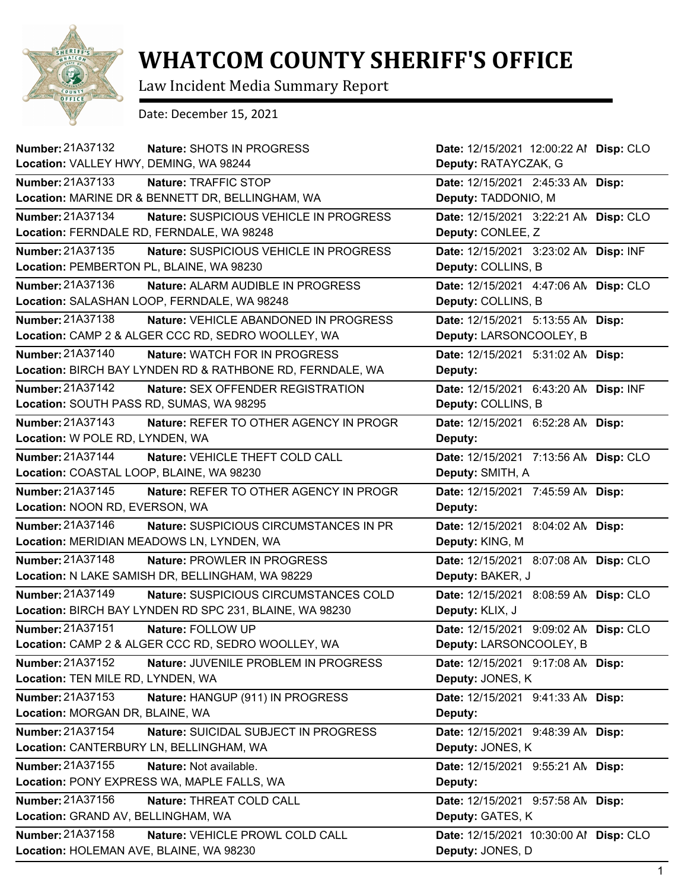

## **WHATCOM COUNTY SHERIFF'S OFFICE**

Law Incident Media Summary Report

Date: December 15, 2021

| Number: 21A37132                          | Nature: SHOTS IN PROGRESS                                 | Date: 12/15/2021 12:00:22 Al Disp: CLO  |  |
|-------------------------------------------|-----------------------------------------------------------|-----------------------------------------|--|
| Location: VALLEY HWY, DEMING, WA 98244    |                                                           | Deputy: RATAYCZAK, G                    |  |
| <b>Number: 21A37133</b>                   | Nature: TRAFFIC STOP                                      | Date: 12/15/2021 2:45:33 AN Disp:       |  |
|                                           | Location: MARINE DR & BENNETT DR, BELLINGHAM, WA          | Deputy: TADDONIO, M                     |  |
| Number: 21A37134                          | Nature: SUSPICIOUS VEHICLE IN PROGRESS                    | Date: 12/15/2021 3:22:21 AN Disp: CLO   |  |
| Location: FERNDALE RD, FERNDALE, WA 98248 |                                                           | Deputy: CONLEE, Z                       |  |
| <b>Number: 21A37135</b>                   | Nature: SUSPICIOUS VEHICLE IN PROGRESS                    | Date: 12/15/2021 3:23:02 AN Disp: INF   |  |
| Location: PEMBERTON PL, BLAINE, WA 98230  |                                                           | Deputy: COLLINS, B                      |  |
| Number: 21A37136                          | Nature: ALARM AUDIBLE IN PROGRESS                         | Date: 12/15/2021  4:47:06 AN  Disp: CLO |  |
|                                           | Location: SALASHAN LOOP, FERNDALE, WA 98248               | Deputy: COLLINS, B                      |  |
| Number: 21A37138                          | Nature: VEHICLE ABANDONED IN PROGRESS                     | Date: 12/15/2021 5:13:55 AN Disp:       |  |
|                                           | Location: CAMP 2 & ALGER CCC RD, SEDRO WOOLLEY, WA        | Deputy: LARSONCOOLEY, B                 |  |
| Number: 21A37140                          | <b>Nature: WATCH FOR IN PROGRESS</b>                      | Date: 12/15/2021 5:31:02 AN Disp:       |  |
|                                           | Location: BIRCH BAY LYNDEN RD & RATHBONE RD, FERNDALE, WA | Deputy:                                 |  |
| Number: 21A37142                          | Nature: SEX OFFENDER REGISTRATION                         | Date: 12/15/2021 6:43:20 AN Disp: INF   |  |
| Location: SOUTH PASS RD, SUMAS, WA 98295  |                                                           | Deputy: COLLINS, B                      |  |
| Number: 21A37143                          | Nature: REFER TO OTHER AGENCY IN PROGR                    | Date: 12/15/2021 6:52:28 AN Disp:       |  |
| Location: W POLE RD, LYNDEN, WA           |                                                           | Deputy:                                 |  |
| Number: 21A37144                          | Nature: VEHICLE THEFT COLD CALL                           | Date: 12/15/2021 7:13:56 AN Disp: CLO   |  |
| Location: COASTAL LOOP, BLAINE, WA 98230  |                                                           | Deputy: SMITH, A                        |  |
| Number: 21A37145                          | Nature: REFER TO OTHER AGENCY IN PROGR                    | Date: 12/15/2021 7:45:59 AN Disp:       |  |
| Location: NOON RD, EVERSON, WA            |                                                           | Deputy:                                 |  |
| Number: 21A37146                          | Nature: SUSPICIOUS CIRCUMSTANCES IN PR                    | Date: 12/15/2021 8:04:02 AM Disp:       |  |
| Location: MERIDIAN MEADOWS LN, LYNDEN, WA |                                                           | Deputy: KING, M                         |  |
| Number: 21A37148                          | Nature: PROWLER IN PROGRESS                               | Date: 12/15/2021 8:07:08 AN Disp: CLO   |  |
|                                           | Location: N LAKE SAMISH DR, BELLINGHAM, WA 98229          | Deputy: BAKER, J                        |  |
| Number: 21A37149                          | Nature: SUSPICIOUS CIRCUMSTANCES COLD                     | Date: 12/15/2021 8:08:59 AN Disp: CLO   |  |
|                                           | Location: BIRCH BAY LYNDEN RD SPC 231, BLAINE, WA 98230   | Deputy: KLIX, J                         |  |
| Number: 21A37151                          | Nature: FOLLOW UP                                         | Date: 12/15/2021 9:09:02 AN Disp: CLO   |  |
|                                           | Location: CAMP 2 & ALGER CCC RD, SEDRO WOOLLEY, WA        | Deputy: LARSONCOOLEY, B                 |  |
| Number: 21A37152                          | Nature: JUVENILE PROBLEM IN PROGRESS                      | Date: 12/15/2021 9:17:08 AN Disp:       |  |
| Location: TEN MILE RD, LYNDEN, WA         |                                                           | Deputy: JONES, K                        |  |
| Number: 21A37153                          | Nature: HANGUP (911) IN PROGRESS                          | Date: 12/15/2021 9:41:33 AN Disp:       |  |
| Location: MORGAN DR, BLAINE, WA           |                                                           | Deputy:                                 |  |
| Number: 21A37154                          | Nature: SUICIDAL SUBJECT IN PROGRESS                      | Date: 12/15/2021 9:48:39 AM Disp:       |  |
| Location: CANTERBURY LN, BELLINGHAM, WA   |                                                           | Deputy: JONES, K                        |  |
| Number: 21A37155                          | Nature: Not available.                                    | Date: 12/15/2021 9:55:21 AN Disp:       |  |
|                                           | Location: PONY EXPRESS WA, MAPLE FALLS, WA                | Deputy:                                 |  |
| Number: 21A37156                          | Nature: THREAT COLD CALL                                  | Date: 12/15/2021 9:57:58 AN Disp:       |  |
| Location: GRAND AV, BELLINGHAM, WA        |                                                           | Deputy: GATES, K                        |  |
| Number: 21A37158                          | Nature: VEHICLE PROWL COLD CALL                           | Date: 12/15/2021 10:30:00 Al Disp: CLO  |  |
| Location: HOLEMAN AVE, BLAINE, WA 98230   |                                                           | Deputy: JONES, D                        |  |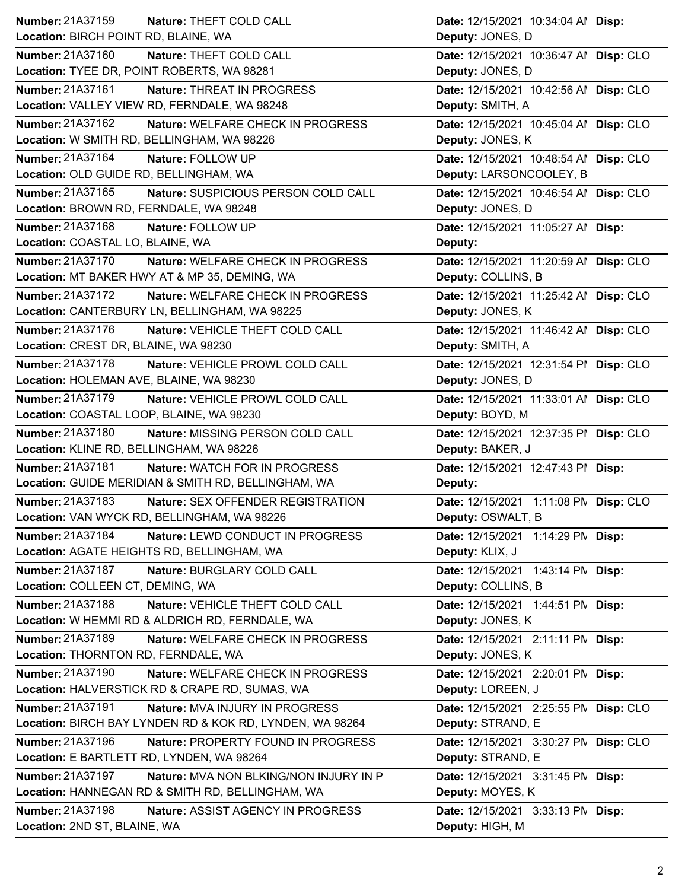| <b>Number: 21A37159</b><br>Nature: THEFT COLD CALL                | Date: 12/15/2021 10:34:04 Al Disp:     |
|-------------------------------------------------------------------|----------------------------------------|
| Location: BIRCH POINT RD, BLAINE, WA                              | Deputy: JONES, D                       |
| <b>Number: 21A37160</b><br>Nature: THEFT COLD CALL                | Date: 12/15/2021 10:36:47 Al Disp: CLO |
| Location: TYEE DR, POINT ROBERTS, WA 98281                        | Deputy: JONES, D                       |
| Number: 21A37161<br>Nature: THREAT IN PROGRESS                    | Date: 12/15/2021 10:42:56 Al Disp: CLO |
| Location: VALLEY VIEW RD, FERNDALE, WA 98248                      | Deputy: SMITH, A                       |
| Number: 21A37162<br>Nature: WELFARE CHECK IN PROGRESS             | Date: 12/15/2021 10:45:04 Al Disp: CLO |
| Location: W SMITH RD, BELLINGHAM, WA 98226                        | Deputy: JONES, K                       |
| Number: 21A37164<br>Nature: FOLLOW UP                             | Date: 12/15/2021 10:48:54 Al Disp: CLO |
| Location: OLD GUIDE RD, BELLINGHAM, WA                            | Deputy: LARSONCOOLEY, B                |
| Number: 21A37165<br>Nature: SUSPICIOUS PERSON COLD CALL           | Date: 12/15/2021 10:46:54 Al Disp: CLO |
| Location: BROWN RD, FERNDALE, WA 98248                            | Deputy: JONES, D                       |
| Number: 21A37168<br>Nature: FOLLOW UP                             | Date: 12/15/2021 11:05:27 Al Disp:     |
| Location: COASTAL LO, BLAINE, WA                                  | Deputy:                                |
| Number: 21A37170<br>Nature: WELFARE CHECK IN PROGRESS             | Date: 12/15/2021 11:20:59 Al Disp: CLO |
| Location: MT BAKER HWY AT & MP 35, DEMING, WA                     | Deputy: COLLINS, B                     |
| <b>Number: 21A37172</b><br>Nature: WELFARE CHECK IN PROGRESS      | Date: 12/15/2021 11:25:42 Al Disp: CLO |
| Location: CANTERBURY LN, BELLINGHAM, WA 98225                     | Deputy: JONES, K                       |
| Number: 21A37176<br>Nature: VEHICLE THEFT COLD CALL               | Date: 12/15/2021 11:46:42 Al Disp: CLO |
| Location: CREST DR, BLAINE, WA 98230                              | Deputy: SMITH, A                       |
| <b>Number: 21A37178</b><br>Nature: VEHICLE PROWL COLD CALL        | Date: 12/15/2021 12:31:54 PI Disp: CLO |
| Location: HOLEMAN AVE, BLAINE, WA 98230                           | Deputy: JONES, D                       |
| Number: 21A37179<br>Nature: VEHICLE PROWL COLD CALL               | Date: 12/15/2021 11:33:01 Al Disp: CLO |
| Location: COASTAL LOOP, BLAINE, WA 98230                          | Deputy: BOYD, M                        |
| Number: 21A37180<br>Nature: MISSING PERSON COLD CALL              | Date: 12/15/2021 12:37:35 PI Disp: CLO |
| Location: KLINE RD, BELLINGHAM, WA 98226                          | Deputy: BAKER, J                       |
| Number: 21A37181<br><b>Nature: WATCH FOR IN PROGRESS</b>          | Date: 12/15/2021 12:47:43 PI Disp:     |
| Location: GUIDE MERIDIAN & SMITH RD, BELLINGHAM, WA               | Deputy:                                |
| Number: 21A37183<br>Nature: SEX OFFENDER REGISTRATION             | Date: 12/15/2021 1:11:08 PM Disp: CLO  |
| Location: VAN WYCK RD, BELLINGHAM, WA 98226                       | Deputy: OSWALT, B                      |
| Number: 21A37184<br>Nature: LEWD CONDUCT IN PROGRESS              | Date: 12/15/2021 1:14:29 PM Disp:      |
| Location: AGATE HEIGHTS RD, BELLINGHAM, WA                        | Deputy: KLIX, J                        |
| Number: 21A37187<br>Nature: BURGLARY COLD CALL                    | Date: 12/15/2021 1:43:14 PM Disp:      |
| Location: COLLEEN CT, DEMING, WA                                  | Deputy: COLLINS, B                     |
| Number: 21A37188<br>Nature: VEHICLE THEFT COLD CALL               | Date: 12/15/2021 1:44:51 PM Disp:      |
| Location: W HEMMI RD & ALDRICH RD, FERNDALE, WA                   | Deputy: JONES, K                       |
| <b>Number: 21A37189</b><br>Nature: WELFARE CHECK IN PROGRESS      | Date: 12/15/2021 2:11:11 PM Disp:      |
| Location: THORNTON RD, FERNDALE, WA                               | Deputy: JONES, K                       |
| Number: 21A37190<br>Nature: WELFARE CHECK IN PROGRESS             | Date: 12/15/2021 2:20:01 PM Disp:      |
| Location: HALVERSTICK RD & CRAPE RD, SUMAS, WA                    | Deputy: LOREEN, J                      |
| <b>Number: 21A37191</b><br>Nature: MVA INJURY IN PROGRESS         | Date: 12/15/2021 2:25:55 PM Disp: CLO  |
| Location: BIRCH BAY LYNDEN RD & KOK RD, LYNDEN, WA 98264          | Deputy: STRAND, E                      |
| Number: 21A37196<br>Nature: PROPERTY FOUND IN PROGRESS            | Date: 12/15/2021 3:30:27 PN Disp: CLO  |
| Location: E BARTLETT RD, LYNDEN, WA 98264                         | Deputy: STRAND, E                      |
| <b>Number: 21A37197</b><br>Nature: MVA NON BLKING/NON INJURY IN P | Date: 12/15/2021 3:31:45 PM Disp:      |
| Location: HANNEGAN RD & SMITH RD, BELLINGHAM, WA                  | Deputy: MOYES, K                       |
| Number: 21A37198<br>Nature: ASSIST AGENCY IN PROGRESS             | Date: 12/15/2021 3:33:13 PM Disp:      |
| Location: 2ND ST, BLAINE, WA                                      | Deputy: HIGH, M                        |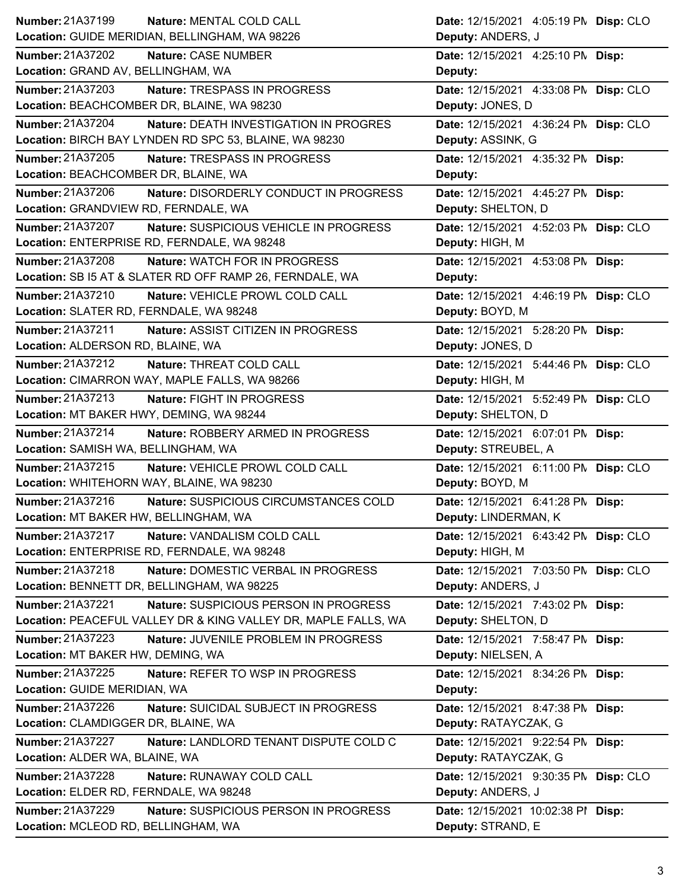| Number: 21A37199<br>Nature: MENTAL COLD CALL                             | Date: 12/15/2021 4:05:19 PM Disp: CLO   |
|--------------------------------------------------------------------------|-----------------------------------------|
| Location: GUIDE MERIDIAN, BELLINGHAM, WA 98226                           | Deputy: ANDERS, J                       |
| <b>Number: 21A37202</b><br>Nature: CASE NUMBER                           | Date: 12/15/2021 4:25:10 PM Disp:       |
| Location: GRAND AV, BELLINGHAM, WA                                       | Deputy:                                 |
| <b>Number: 21A37203</b><br>Nature: TRESPASS IN PROGRESS                  | Date: 12/15/2021 4:33:08 PN Disp: CLO   |
| Location: BEACHCOMBER DR, BLAINE, WA 98230                               | Deputy: JONES, D                        |
| <b>Number: 21A37204</b><br><b>Nature: DEATH INVESTIGATION IN PROGRES</b> | Date: 12/15/2021 4:36:24 PN Disp: CLO   |
| Location: BIRCH BAY LYNDEN RD SPC 53, BLAINE, WA 98230                   | Deputy: ASSINK, G                       |
| Number: 21A37205<br>Nature: TRESPASS IN PROGRESS                         | Date: 12/15/2021 4:35:32 PM Disp:       |
| Location: BEACHCOMBER DR, BLAINE, WA                                     | Deputy:                                 |
| <b>Number: 21A37206</b><br>Nature: DISORDERLY CONDUCT IN PROGRESS        | Date: 12/15/2021 4:45:27 PM Disp:       |
| Location: GRANDVIEW RD, FERNDALE, WA                                     | Deputy: SHELTON, D                      |
| <b>Number: 21A37207</b><br>Nature: SUSPICIOUS VEHICLE IN PROGRESS        | Date: 12/15/2021  4:52:03 PM  Disp: CLO |
| Location: ENTERPRISE RD, FERNDALE, WA 98248                              | Deputy: HIGH, M                         |
| Number: 21A37208<br>Nature: WATCH FOR IN PROGRESS                        | Date: 12/15/2021 4:53:08 PM Disp:       |
| Location: SB I5 AT & SLATER RD OFF RAMP 26, FERNDALE, WA                 | Deputy:                                 |
| Number: 21A37210<br>Nature: VEHICLE PROWL COLD CALL                      | Date: 12/15/2021 4:46:19 PN Disp: CLO   |
| Location: SLATER RD, FERNDALE, WA 98248                                  | Deputy: BOYD, M                         |
| Number: 21A37211<br>Nature: ASSIST CITIZEN IN PROGRESS                   | Date: 12/15/2021 5:28:20 PM Disp:       |
| Location: ALDERSON RD, BLAINE, WA                                        | Deputy: JONES, D                        |
| Number: 21A37212<br>Nature: THREAT COLD CALL                             | Date: 12/15/2021 5:44:46 PM Disp: CLO   |
| Location: CIMARRON WAY, MAPLE FALLS, WA 98266                            | Deputy: HIGH, M                         |
| Number: 21A37213<br>Nature: FIGHT IN PROGRESS                            | Date: 12/15/2021 5:52:49 PM Disp: CLO   |
| Location: MT BAKER HWY, DEMING, WA 98244                                 | Deputy: SHELTON, D                      |
|                                                                          |                                         |
| Number: 21A37214<br>Nature: ROBBERY ARMED IN PROGRESS                    | Date: 12/15/2021 6:07:01 PM Disp:       |
| Location: SAMISH WA, BELLINGHAM, WA                                      | Deputy: STREUBEL, A                     |
| Number: 21A37215<br>Nature: VEHICLE PROWL COLD CALL                      | Date: 12/15/2021 6:11:00 PN Disp: CLO   |
| Location: WHITEHORN WAY, BLAINE, WA 98230                                | Deputy: BOYD, M                         |
| Number: 21A37216<br>Nature: SUSPICIOUS CIRCUMSTANCES COLD                | Date: 12/15/2021 6:41:28 PM Disp:       |
| Location: MT BAKER HW, BELLINGHAM, WA                                    | Deputy: LINDERMAN, K                    |
| <b>Number: 21A37217</b><br>Nature: VANDALISM COLD CALL                   | Date: 12/15/2021 6:43:42 PM Disp: CLO   |
| Location: ENTERPRISE RD, FERNDALE, WA 98248                              | Deputy: HIGH, M                         |
| <b>Number: 21A37218</b><br>Nature: DOMESTIC VERBAL IN PROGRESS           | Date: 12/15/2021 7:03:50 PM Disp: CLO   |
| Location: BENNETT DR, BELLINGHAM, WA 98225                               | Deputy: ANDERS, J                       |
| <b>Number: 21A37221</b><br>Nature: SUSPICIOUS PERSON IN PROGRESS         | Date: 12/15/2021 7:43:02 PM Disp:       |
| Location: PEACEFUL VALLEY DR & KING VALLEY DR, MAPLE FALLS, WA           | Deputy: SHELTON, D                      |
| <b>Number: 21A37223</b><br>Nature: JUVENILE PROBLEM IN PROGRESS          | Date: 12/15/2021 7:58:47 PM Disp:       |
| Location: MT BAKER HW, DEMING, WA                                        | Deputy: NIELSEN, A                      |
| Number: 21A37225<br>Nature: REFER TO WSP IN PROGRESS                     | Date: 12/15/2021 8:34:26 PM Disp:       |
| Location: GUIDE MERIDIAN, WA                                             | Deputy:                                 |
| Number: 21A37226<br>Nature: SUICIDAL SUBJECT IN PROGRESS                 | Date: 12/15/2021 8:47:38 PM Disp:       |
| Location: CLAMDIGGER DR, BLAINE, WA                                      | Deputy: RATAYCZAK, G                    |
| Number: 21A37227<br>Nature: LANDLORD TENANT DISPUTE COLD C               | Date: 12/15/2021 9:22:54 PM Disp:       |
| Location: ALDER WA, BLAINE, WA                                           | Deputy: RATAYCZAK, G                    |
| <b>Number: 21A37228</b><br>Nature: RUNAWAY COLD CALL                     | Date: 12/15/2021 9:30:35 PM Disp: CLO   |
| Location: ELDER RD, FERNDALE, WA 98248                                   | Deputy: ANDERS, J                       |
| Number: 21A37229<br>Nature: SUSPICIOUS PERSON IN PROGRESS                | Date: 12/15/2021 10:02:38 PI Disp:      |